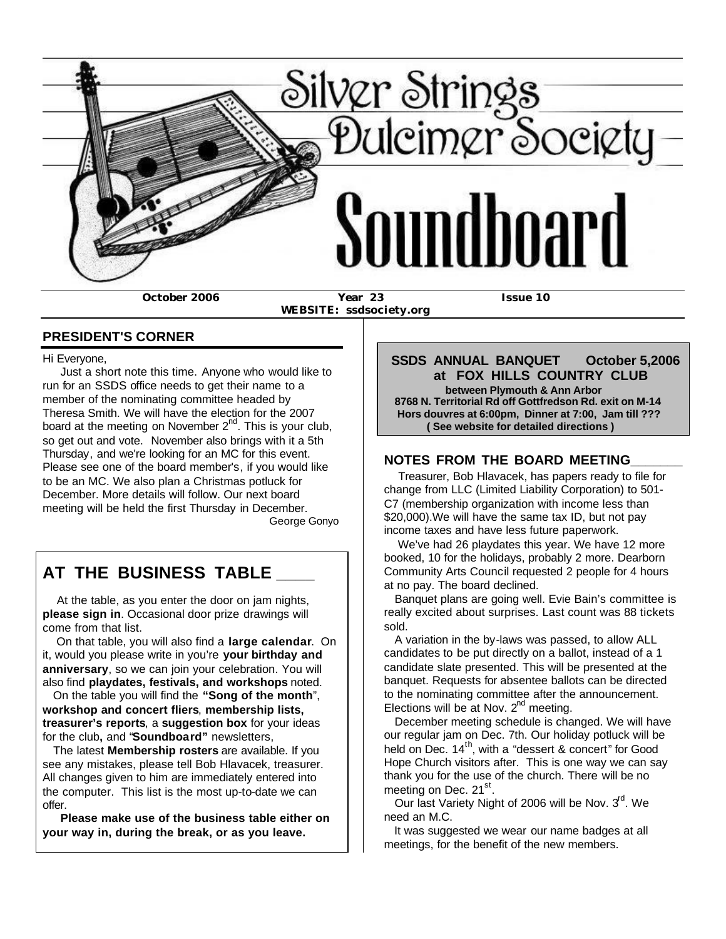

 **WEBSITE: ssdsociety.org**

### **PRESIDENT'S CORNER**

Hi Everyone,

 Just a short note this time. Anyone who would like to run for an SSDS office needs to get their name to a member of the nominating committee headed by Theresa Smith. We will have the election for the 2007 board at the meeting on November  $2^{nd}$ . This is your club, so get out and vote. November also brings with it a 5th Thursday, and we're looking for an MC for this event. Please see one of the board member's, if you would like to be an MC. We also plan a Christmas potluck for December. More details will follow. Our next board meeting will be held the first Thursday in December. George Gonyo

# **AT THE BUSINESS TABLE \_\_\_\_**

 At the table, as you enter the door on jam nights, **please sign in**. Occasional door prize drawings will come from that list.

 On that table, you will also find a **large calendar**. On it, would you please write in you're **your birthday and anniversary**, so we can join your celebration. You will also find **playdates, festivals, and workshops** noted.

 On the table you will find the **"Song of the month**", **workshop and concert fliers**, **membership lists, treasurer's reports**, a **suggestion box** for your ideas for the club**,** and "**Soundboard"** newsletters,

 The latest **Membership rosters** are available. If you see any mistakes, please tell Bob Hlavacek, treasurer. All changes given to him are immediately entered into the computer. This list is the most up-to-date we can offer.

 **Please make use of the business table either on your way in, during the break, or as you leave.**

 **SSDS ANNUAL BANQUET October 5,2006 at FOX HILLS COUNTRY CLUB between Plymouth & Ann Arbor 8768 N. Territorial Rd off Gottfredson Rd. exit on M-14 Hors douvres at 6:00pm, Dinner at 7:00, Jam till ??? ( See website for detailed directions )**

### **NOTES FROM THE BOARD MEETING\_\_\_\_\_\_\_**

 Treasurer, Bob Hlavacek, has papers ready to file for change from LLC (Limited Liability Corporation) to 501- C7 (membership organization with income less than \$20,000).We will have the same tax ID, but not pay income taxes and have less future paperwork.

 We've had 26 playdates this year. We have 12 more booked, 10 for the holidays, probably 2 more. Dearborn Community Arts Council requested 2 people for 4 hours at no pay. The board declined.

 Banquet plans are going well. Evie Bain's committee is really excited about surprises. Last count was 88 tickets sold.

 A variation in the by-laws was passed, to allow ALL candidates to be put directly on a ballot, instead of a 1 candidate slate presented. This will be presented at the banquet. Requests for absentee ballots can be directed to the nominating committee after the announcement. Elections will be at Nov.  $2^{nd}$  meeting.

 December meeting schedule is changed. We will have our regular jam on Dec. 7th. Our holiday potluck will be held on Dec.  $14<sup>th</sup>$ , with a "dessert & concert" for Good Hope Church visitors after. This is one way we can say thank you for the use of the church. There will be no meeting on Dec. 21<sup>st</sup>.

Our last Variety Night of 2006 will be Nov. 3<sup>rd</sup>. We need an M.C.

 It was suggested we wear our name badges at all meetings, for the benefit of the new members.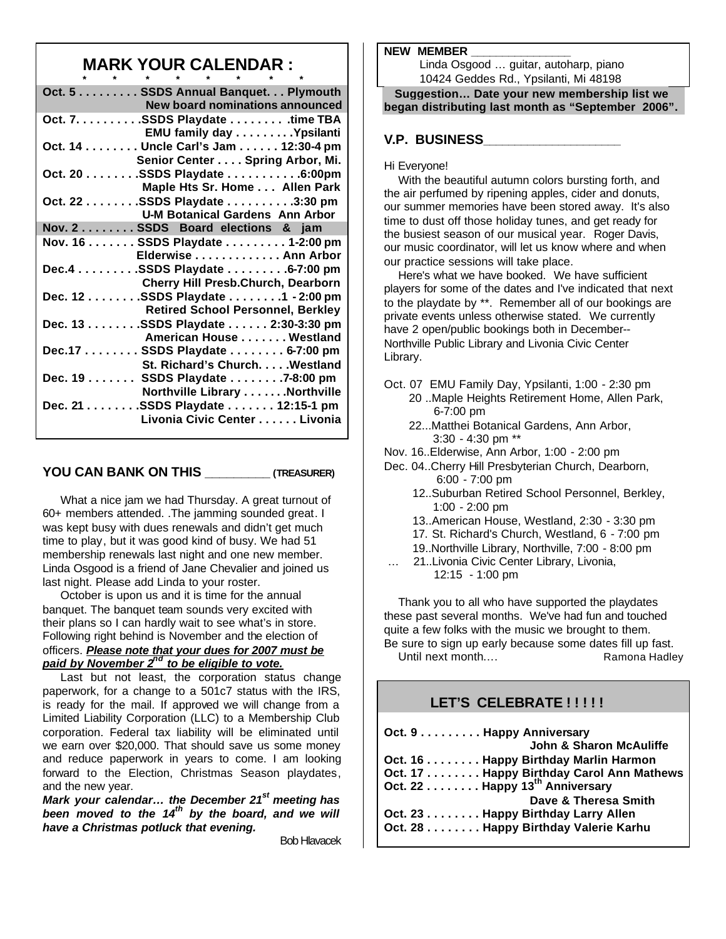### **MARK YOUR CALENDAR :**

| Oct. 5 SSDS Annual Banquet. Plymouth |  |  |  | <b>New board nominations announced</b>   |  |
|--------------------------------------|--|--|--|------------------------------------------|--|
| Oct. 7. SSDS Playdate time TBA       |  |  |  | EMU family day Ypsilanti                 |  |
| Oct. 14 Uncle Carl's Jam 12:30-4 pm  |  |  |  | Senior Center Spring Arbor, Mi.          |  |
| Oct. 20 SSDS Playdate 6:00pm         |  |  |  | Maple Hts Sr. Home Allen Park            |  |
| Oct. 22 SSDS Playdate 3:30 pm        |  |  |  | <b>U-M Botanical Gardens Ann Arbor</b>   |  |
| Nov. 2 SSDS Board elections & jam    |  |  |  |                                          |  |
| Nov. 16 SSDS Playdate 1-2:00 pm      |  |  |  | Elderwise Ann Arbor                      |  |
| Dec.4 SSDS Playdate 6-7:00 pm        |  |  |  | Cherry Hill Presb.Church, Dearborn       |  |
| Dec. 12 SSDS Playdate 1 - 2:00 pm    |  |  |  | <b>Retired School Personnel, Berkley</b> |  |
| Dec. 13 SSDS Playdate 2:30-3:30 pm   |  |  |  | American House Westland                  |  |
| Dec.17 SSDS Playdate 6-7:00 pm       |  |  |  | St. Richard's Church. Westland           |  |
| Dec. 19 SSDS Playdate 7-8:00 pm      |  |  |  | Northville Library Northville            |  |
| Dec. 21 SSDS Playdate 12:15-1 pm     |  |  |  | Livonia Civic Center Livonia             |  |
|                                      |  |  |  |                                          |  |

#### **YOU CAN BANK ON THIS \_\_\_\_\_\_\_\_\_ (TREASURER)**

 What a nice jam we had Thursday. A great turnout of 60+ members attended. .The jamming sounded great. I was kept busy with dues renewals and didn't get much time to play, but it was good kind of busy. We had 51 membership renewals last night and one new member. Linda Osgood is a friend of Jane Chevalier and joined us last night. Please add Linda to your roster.

 October is upon us and it is time for the annual banquet. The banquet team sounds very excited with their plans so I can hardly wait to see what's in store. Following right behind is November and the election of officers. *Please note that your dues for 2007 must be paid by November 2nd to be eligible to vote.*

 Last but not least, the corporation status change paperwork, for a change to a 501c7 status with the IRS, is ready for the mail. If approved we will change from a Limited Liability Corporation (LLC) to a Membership Club corporation. Federal tax liability will be eliminated until we earn over \$20,000. That should save us some money and reduce paperwork in years to come. I am looking forward to the Election, Christmas Season playdates, and the new year.

*Mark your calendar… the December 21st meeting has been moved to the 14th by the board, and we will have a Christmas potluck that evening.*

Bob Hlavacek

#### **NEW MEMBER \_\_\_\_\_\_\_\_\_\_\_\_\_\_\_\_**

 Linda Osgood … guitar, autoharp, piano 10424 Geddes Rd., Ypsilanti, Mi 48198

 **Suggestion… Date your new membership list we began distributing last month as "September 2006".**

### **V.P. BUSINESS\_\_\_\_\_\_\_\_\_\_\_\_\_\_\_\_\_\_\_\_\_\_**

#### Hi Everyone!

 With the beautiful autumn colors bursting forth, and the air perfumed by ripening apples, cider and donuts, our summer memories have been stored away. It's also time to dust off those holiday tunes, and get ready for the busiest season of our musical year. Roger Davis, our music coordinator, will let us know where and when our practice sessions will take place.

 Here's what we have booked. We have sufficient players for some of the dates and I've indicated that next to the playdate by \*\*. Remember all of our bookings are private events unless otherwise stated. We currently have 2 open/public bookings both in December-- Northville Public Library and Livonia Civic Center Library.

- Oct. 07 EMU Family Day, Ypsilanti, 1:00 2:30 pm 20 ..Maple Heights Retirement Home, Allen Park, 6-7:00 pm
	- 22...Matthei Botanical Gardens, Ann Arbor, 3:30 - 4:30 pm \*\*
- Nov. 16..Elderwise, Ann Arbor, 1:00 2:00 pm
- Dec. 04..Cherry Hill Presbyterian Church, Dearborn, 6:00 - 7:00 pm
	- 12..Suburban Retired School Personnel, Berkley, 1:00 - 2:00 pm
	- 13..American House, Westland, 2:30 3:30 pm
	- 17. St. Richard's Church, Westland, 6 7:00 pm
	- 19..Northville Library, Northville, 7:00 8:00 pm
	- … 21..Livonia Civic Center Library, Livonia, 12:15 - 1:00 pm

 Thank you to all who have supported the playdates these past several months. We've had fun and touched quite a few folks with the music we brought to them. Be sure to sign up early because some dates fill up fast. Until next month…. Ramona Hadley

### LET'S CELEBRATE ! ! ! ! !

| Oct. 9 Happy Anniversary                   |                                          |
|--------------------------------------------|------------------------------------------|
|                                            | <b>John &amp; Sharon McAuliffe</b>       |
|                                            | Oct. 16 Happy Birthday Marlin Harmon     |
|                                            | Oct. 17 Happy Birthday Carol Ann Mathews |
| Oct. 22 Happy 13 <sup>th</sup> Anniversary |                                          |
|                                            | Dave & Theresa Smith                     |
|                                            | Oct. 23 Happy Birthday Larry Allen       |
|                                            | Oct. 28 Happy Birthday Valerie Karhu     |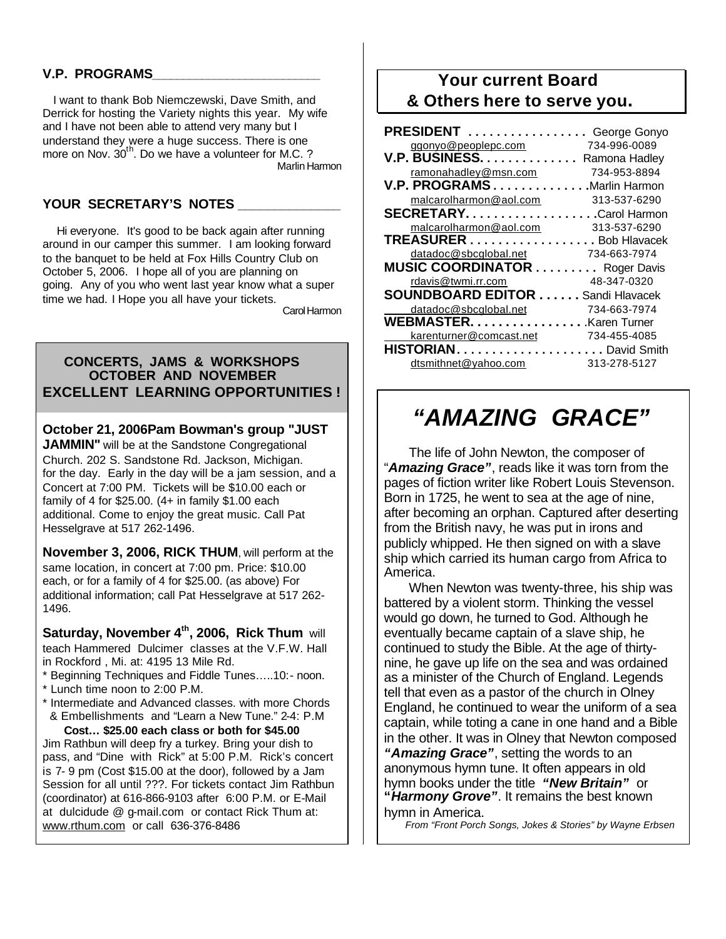### **V.P. PROGRAMS\_\_\_\_\_\_\_\_\_\_\_\_\_\_\_\_\_\_\_\_\_\_\_\_\_\_\_**

 I want to thank Bob Niemczewski, Dave Smith, and Derrick for hosting the Variety nights this year. My wife and I have not been able to attend very many but I understand they were a huge success. There is one more on Nov. 30<sup>th</sup>. Do we have a volunteer for M.C. ? Marlin Harmon

#### YOUR SECRETARY'S NOTES

 Hi everyone. It's good to be back again after running around in our camper this summer. I am looking forward to the banquet to be held at Fox Hills Country Club on October 5, 2006. I hope all of you are planning on going. Any of you who went last year know what a super time we had. I Hope you all have your tickets. Carol Harmon

 **CONCERTS, JAMS & WORKSHOPS OCTOBER AND NOVEMBER EXCELLENT LEARNING OPPORTUNITIES !**

**October 21, 2006Pam Bowman's group "JUST** 

**JAMMIN**" will be at the Sandstone Congregational Church. 202 S. Sandstone Rd. Jackson, Michigan. for the day. Early in the day will be a jam session, and a Concert at 7:00 PM. Tickets will be \$10.00 each or family of 4 for \$25.00. (4+ in family \$1.00 each additional. Come to enjoy the great music. Call Pat Hesselgrave at 517 262-1496.

**November 3, 2006, RICK THUM**, will perform at the same location, in concert at 7:00 pm. Price: \$10.00 each, or for a family of 4 for \$25.00. (as above) For additional information; call Pat Hesselgrave at 517 262- 1496.

**Saturday, November 4th, 2006, Rick Thum** will teach Hammered Dulcimer classes at the V.F.W. Hall in Rockford , Mi. at: 4195 13 Mile Rd.

\* Beginning Techniques and Fiddle Tunes…..10:- noon.

- \* Lunch time noon to 2:00 P.M.
- \* Intermediate and Advanced classes. with more Chords & Embellishments and "Learn a New Tune." 2-4: P.M

 **Cost… \$25.00 each class or both for \$45.00**  Jim Rathbun will deep fry a turkey. Bring your dish to pass, and "Dine with Rick" at 5:00 P.M. Rick's concert is 7- 9 pm (Cost \$15.00 at the door), followed by a Jam Session for all until ???. For tickets contact Jim Rathbun (coordinator) at 616-866-9103 after 6:00 P.M. or E-Mail at dulcidude @ g-mail.com or contact Rick Thum at: www.rthum.com or call 636-376-8486

### **Your current Board & Others here to serve you.**

| <b>PRESIDENT</b>                   | George Gonyo   |
|------------------------------------|----------------|
| ggonyo@peoplepc.com                | 734-996-0089   |
| <b>V.P. BUSINESS.</b>              | Ramona Hadley  |
| ramonahadley@msn.com               | 734-953-8894   |
| <b>V.P. PROGRAMS</b> Marlin Harmon |                |
| malcarolharmon@aol.com             | 313-537-6290   |
| SECRETARYCarol Harmon              |                |
| malcarolharmon@aol.com             | 313-537-6290   |
| <b>TREASURER</b> Bob Hlavacek      |                |
| datadoc@sbcglobal.net              | 734-663-7974   |
| <b>MUSIC COORDINATOR </b>          | Roger Davis    |
| rdavis@twmi.rr.com                 | 48-347-0320    |
| <b>SOUNDBOARD EDITOR </b>          | Sandi Hlavacek |
| datadoc@sbcglobal.net              | 734-663-7974   |
| WEBMASTER. Karen Turner            |                |
| karenturner@comcast.net            | 734-455-4085   |
|                                    |                |
| dtsmithnet@yahoo.com               | 313-278-5127   |

# *"AMAZING GRACE"*

 The life of John Newton, the composer of "*Amazing Grace"*, reads like it was torn from the pages of fiction writer like Robert Louis Stevenson. Born in 1725, he went to sea at the age of nine, after becoming an orphan. Captured after deserting from the British navy, he was put in irons and publicly whipped. He then signed on with a slave ship which carried its human cargo from Africa to America.

 When Newton was twenty-three, his ship was battered by a violent storm. Thinking the vessel would go down, he turned to God. Although he eventually became captain of a slave ship, he continued to study the Bible. At the age of thirtynine, he gave up life on the sea and was ordained as a minister of the Church of England. Legends tell that even as a pastor of the church in Olney England, he continued to wear the uniform of a sea captain, while toting a cane in one hand and a Bible in the other. It was in Olney that Newton composed *"Amazing Grace"*, setting the words to an anonymous hymn tune. It often appears in old hymn books under the title *"New Britain"* or **"***Harmony Grove"*. It remains the best known hymn in America.

 *From "Front Porch Songs, Jokes & Stories" by Wayne Erbsen*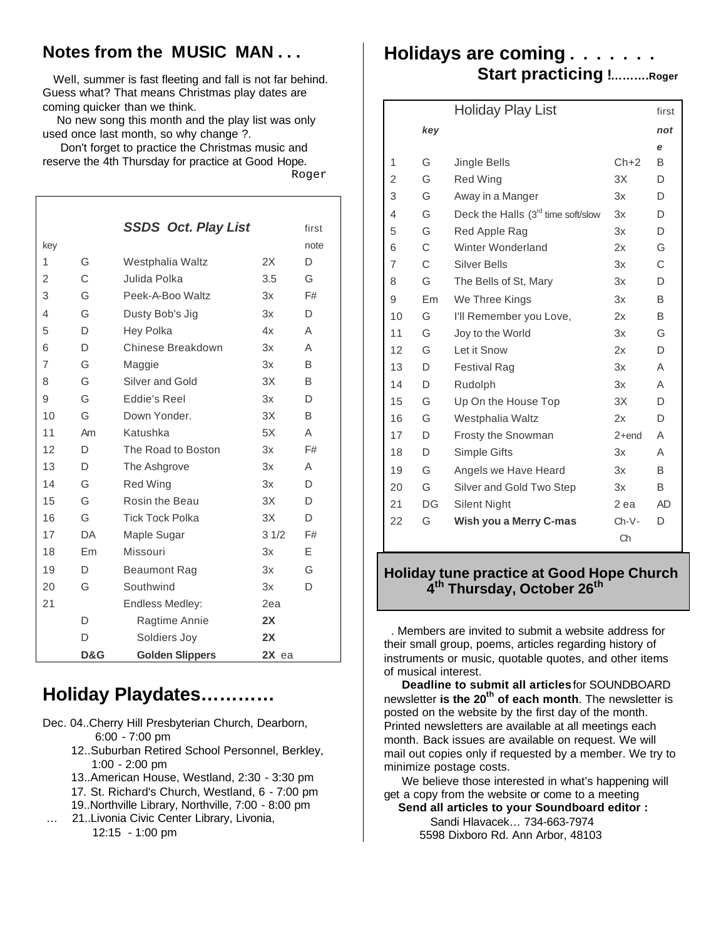### **Notes from the MUSIC MAN . . .**

 Well, summer is fast fleeting and fall is not far behind. Guess what? That means Christmas play dates are coming quicker than we think.

 No new song this month and the play list was only used once last month, so why change ?.

 Don't forget to practice the Christmas music and reserve the 4th Thursday for practice at Good Hope.

Roger

|                |     | <b>SSDS Oct. Play List</b> |         | first |
|----------------|-----|----------------------------|---------|-------|
| key            |     |                            |         | note  |
| 1              | G   | Westphalia Waltz           | 2X      | D     |
| 2              | C   | Julida Polka               | 3.5     | G     |
| 3              | G   | Peek-A-Boo Waltz           | 3x      | F#    |
| 4              | G   | Dusty Bob's Jig            | 3x      | D.    |
| 5              | D   | Hey Polka                  | 4x      | Α     |
| 6              | D   | Chinese Breakdown          | 3x      | Α     |
| $\overline{7}$ | G   | Maggie                     | 3x      | B     |
| 8              | G   | Silver and Gold            | 3X      | B     |
| 9              | G   | Eddie's Reel               | 3x      | D.    |
| 10             | G   | Down Yonder.               | 3X      | B     |
| 11             | Am  | Katushka                   | 5X      | A     |
| 12             | D.  | The Road to Boston         | 3x      | F#    |
| 13             | D   | The Ashgrove               | 3x      | A     |
| 14             | G   | <b>Red Wing</b>            | 3x      | D     |
| 15             | G   | Rosin the Beau             | 3X      | D     |
| 16             | G   | <b>Tick Tock Polka</b>     | 3X      | D     |
| 17             | DA. | Maple Sugar                | 31/2    | F#    |
| 18             | Em  | Missouri                   | 3x      | E     |
| 19             | D   | <b>Beaumont Rag</b>        | 3x      | G     |
| 20             | G   | Southwind                  | 3x      | D     |
| 21             |     | Endless Medley:            | 2ea     |       |
|                | D   | Ragtime Annie              | 2X      |       |
|                | D   | Soldiers Joy               | 2X      |       |
|                | D&G | <b>Golden Slippers</b>     | $2X$ ea |       |

# **Holiday Playdates…………**

Dec. 04..Cherry Hill Presbyterian Church, Dearborn, 6:00 - 7:00 pm

- 12..Suburban Retired School Personnel, Berkley, 1:00 - 2:00 pm
- 13..American House, Westland, 2:30 3:30 pm
- 17. St. Richard's Church, Westland, 6 7:00 pm
- 19..Northville Library, Northville, 7:00 8:00 pm
- … 21..Livonia Civic Center Library, Livonia, 12:15 - 1:00 pm

### **Holidays are coming . . . . . . . Start practicing !……….Roger**

|    |                | <b>Holiday Play List</b>           |         | first     |
|----|----------------|------------------------------------|---------|-----------|
|    | key            |                                    |         | not       |
|    |                |                                    |         | е         |
| 1  | G              | <b>Jingle Bells</b>                | $Ch+2$  | B         |
| 2  | G              | <b>Red Wing</b>                    | 3X      | D         |
| 3  | G              | Away in a Manger                   | 3x      | D         |
| 4  | G              | Deck the Halls (3rd time soft/slow | 3x      | D         |
| 5  | G              | Red Apple Rag                      | 3x      | D         |
| 6  | C              | Winter Wonderland                  | 2x      | G         |
| 7  | C              | <b>Silver Bells</b>                | 3x      | C         |
| 8  | G              | The Bells of St, Mary              | 3x      | D         |
| 9  | E <sub>m</sub> | We Three Kings                     | 3x      | B         |
| 10 | G              | I'll Remember you Love,            | 2x      | B         |
| 11 | G              | Joy to the World                   | 3x      | G         |
| 12 | G              | Let it Snow                        | 2x      | D         |
| 13 | D              | <b>Festival Rag</b>                | 3x      | A         |
| 14 | D              | Rudolph                            | 3x      | Α         |
| 15 | G              | Up On the House Top                | 3X      | D         |
| 16 | G              | Westphalia Waltz                   | 2x      | D         |
| 17 | D              | Frosty the Snowman                 | 2+end   | Α         |
| 18 | D              | Simple Gifts                       | 3x      | Α         |
| 19 | G              | Angels we Have Heard               | 3x      | B         |
| 20 | G              | Silver and Gold Two Step           | 3x      | B         |
| 21 | DG             | Silent Night                       | 2 ea    | <b>AD</b> |
| 22 | G              | Wish you a Merry C-mas             | $Ch-V-$ | D         |
|    |                |                                    | Ch      |           |

### **Holiday tune practice at Good Hope Church 4 th Thursday, October 26th**

 . Members are invited to submit a website address for their small group, poems, articles regarding history of instruments or music, quotable quotes, and other items of musical interest.

 **Deadline to submit all articles** for SOUNDBOARD newsletter **is the 20th of each month**. The newsletter is posted on the website by the first day of the month. Printed newsletters are available at all meetings each month. Back issues are available on request. We will mail out copies only if requested by a member. We try to minimize postage costs.

 We believe those interested in what's happening will get a copy from the website or come to a meeting **Send all articles to your Soundboard editor :** 

 Sandi Hlavacek… 734-663-7974 5598 Dixboro Rd. Ann Arbor, 48103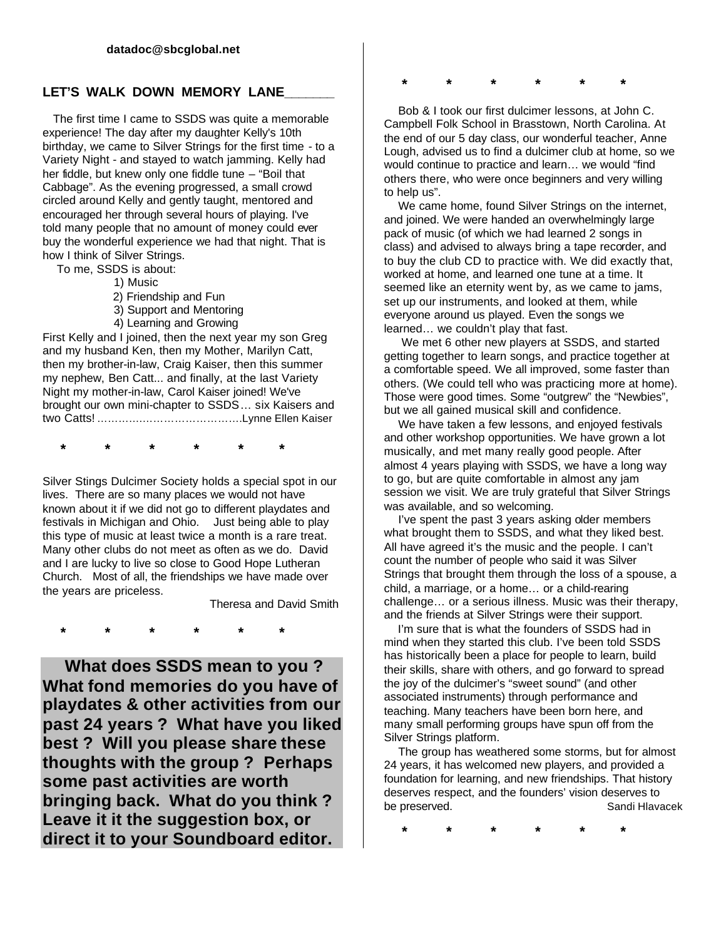#### LET'S WALK DOWN MEMORY LANE

 The first time I came to SSDS was quite a memorable experience! The day after my daughter Kelly's 10th birthday, we came to Silver Strings for the first time - to a Variety Night - and stayed to watch jamming. Kelly had her fiddle, but knew only one fiddle tune – "Boil that Cabbage". As the evening progressed, a small crowd circled around Kelly and gently taught, mentored and encouraged her through several hours of playing. I've told many people that no amount of money could ever buy the wonderful experience we had that night. That is how I think of Silver Strings.

To me, SSDS is about:

1) Music

2) Friendship and Fun

3) Support and Mentoring

4) Learning and Growing

First Kelly and I joined, then the next year my son Greg and my husband Ken, then my Mother, Marilyn Catt, then my brother-in-law, Craig Kaiser, then this summer my nephew, Ben Catt... and finally, at the last Variety Night my mother-in-law, Carol Kaiser joined! We've brought our own mini-chapter to SSDS… six Kaisers and two Catts! ………….……………………….Lynne Ellen Kaiser

 **\* \* \* \* \* \***

Silver Stings Dulcimer Society holds a special spot in our lives. There are so many places we would not have known about it if we did not go to different playdates and festivals in Michigan and Ohio. Just being able to play this type of music at least twice a month is a rare treat. Many other clubs do not meet as often as we do. David and I are lucky to live so close to Good Hope Lutheran Church. Most of all, the friendships we have made over the years are priceless.

Theresa and David Smith

 **\* \* \* \* \* \***

 **What does SSDS mean to you ? What fond memories do you have of playdates & other activities from our past 24 years ? What have you liked best ? Will you please share these thoughts with the group ? Perhaps some past activities are worth bringing back. What do you think ? Leave it it the suggestion box, or direct it to your Soundboard editor.**

 **\* \* \* \* \* \***

 Bob & I took our first dulcimer lessons, at John C. Campbell Folk School in Brasstown, North Carolina. At the end of our 5 day class, our wonderful teacher, Anne Lough, advised us to find a dulcimer club at home, so we would continue to practice and learn… we would "find others there, who were once beginners and very willing to help us".

 We came home, found Silver Strings on the internet, and joined. We were handed an overwhelmingly large pack of music (of which we had learned 2 songs in class) and advised to always bring a tape recorder, and to buy the club CD to practice with. We did exactly that, worked at home, and learned one tune at a time. It seemed like an eternity went by, as we came to jams, set up our instruments, and looked at them, while everyone around us played. Even the songs we learned… we couldn't play that fast.

 We met 6 other new players at SSDS, and started getting together to learn songs, and practice together at a comfortable speed. We all improved, some faster than others. (We could tell who was practicing more at home). Those were good times. Some "outgrew" the "Newbies", but we all gained musical skill and confidence.

 We have taken a few lessons, and enjoyed festivals and other workshop opportunities. We have grown a lot musically, and met many really good people. After almost 4 years playing with SSDS, we have a long way to go, but are quite comfortable in almost any jam session we visit. We are truly grateful that Silver Strings was available, and so welcoming.

 I've spent the past 3 years asking older members what brought them to SSDS, and what they liked best. All have agreed it's the music and the people. I can't count the number of people who said it was Silver Strings that brought them through the loss of a spouse, a child, a marriage, or a home… or a child-rearing challenge… or a serious illness. Music was their therapy, and the friends at Silver Strings were their support.

I'm sure that is what the founders of SSDS had in mind when they started this club. I've been told SSDS has historically been a place for people to learn, build their skills, share with others, and go forward to spread the joy of the dulcimer's "sweet sound" (and other associated instruments) through performance and teaching. Many teachers have been born here, and many small performing groups have spun off from the Silver Strings platform.

 The group has weathered some storms, but for almost 24 years, it has welcomed new players, and provided a foundation for learning, and new friendships. That history deserves respect, and the founders' vision deserves to be preserved. The sandi Hlavacek Sandi Hlavacek

 **\* \* \* \* \* \***